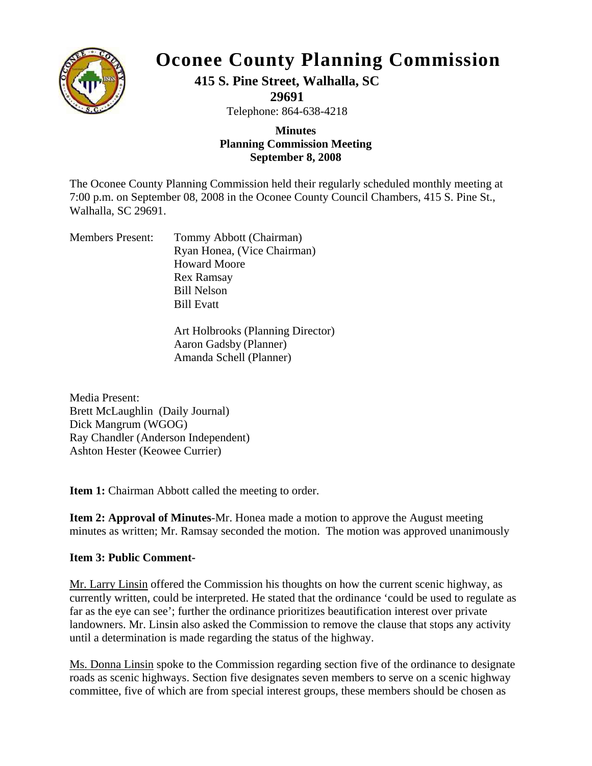

## **Oconee County Planning Commission**

## **415 S. Pine Street, Walhalla, SC**

**29691** 

Telephone: 864-638-4218

## **Planning Commis sion Meeting Minutes September 8, 2008**

7:00 p.m. on September 08, 2008 in the Oconee County Council Chambers, 415 S. Pine St., Walhalla, SC 29691. The Oconee County Planning Commission held their regularly scheduled monthly meeting at

| <b>Members Present:</b> | Tommy Abbott (Chairman)     |
|-------------------------|-----------------------------|
|                         | Ryan Honea, (Vice Chairman) |
|                         | <b>Howard Moore</b>         |
|                         | <b>Rex Ramsay</b>           |
|                         | <b>Bill Nelson</b>          |
|                         | <b>Bill Evatt</b>           |
|                         |                             |

Art Holbrooks (Planning Director) Aaron Gadsby (Planner) Amanda Schell (Planner)

Ray Chandler (Anderson Independent) Ashton Hester (Keowee Currier) Media Present: Brett McLaughlin (Daily Journal) Dick Mangrum (WGOG)

Item 1: Chairman Abbott called the meeting to order.

minutes as written; Mr. Ramsay seconded the motion. The motion was approved unanimously **Item 2: Approval of Minutes**-Mr. Honea made a motion to approve the August meeting

## **Item 3: Public Comment-**

Mr. Larry Linsin offered the Commission his thoughts on how the current scenic highway, as currently written, could be interpreted. He stated that the ordinance 'could be used to regulate as far as the eye can see'; further the ordinance prioritizes beautification interest over private landowners. Mr. Linsin also asked the Commission to remove the clause that stops any activity until a determination is made regarding the status of the highway.

Ms. Donna Linsin spoke to the Commission regarding section five of the ordinance to designate roads as scenic highways. Section five designates seven members to serve on a scenic highway committee, five of which are from special interest groups, these members should be chosen as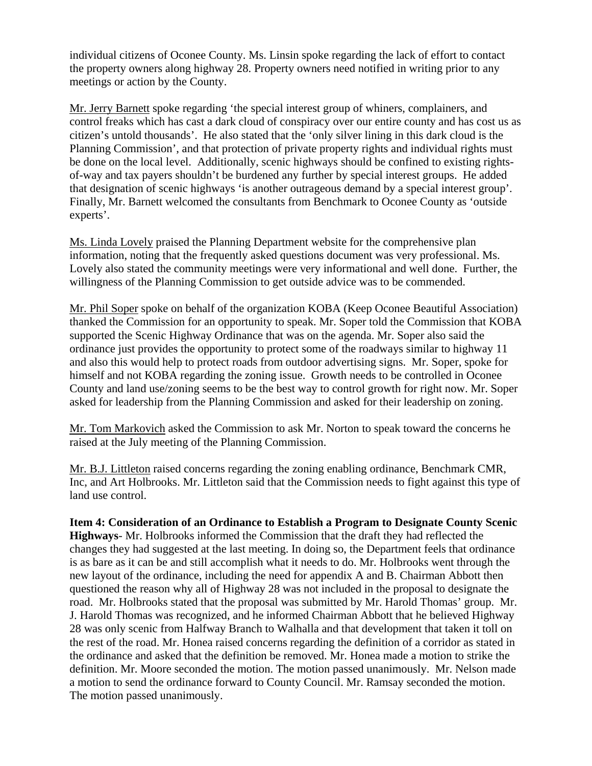individual citizens of Oconee County. Ms. Linsin spoke regarding the lack of effort to contact the property owners along highway 28. Property owners need notified in writing prior to any meetings or action by the County.

Mr. Jerry Barnett spoke regarding 'the special interest group of whiners, complainers, and control freaks which has cast a dark cloud of conspiracy over our entire county and has cost us a s citizen's untold thousands'. He also stated that the 'only silver lining in this dark cloud is the Planning Commission', and that protection of private property rights and individual rights must be done on the local level. Additionally, scenic highways should be confined to existing rightsof-way and tax payers shouldn't be burdened any further by special interest groups. He added that designation of scenic highways 'is another outrageous demand by a special interest group'. Finally, Mr. Barnett welcomed the consultants from Benchmark to Oconee County as 'outside experts'.

Ms. Linda Lovely praised the Planning Department website for the comprehensive plan information, noting that the frequently asked questions document was very professional. Ms. Lovely also stated the community meetings were very informational and well done. Further, the willingness of the Planning Commission to get outside advice was to be commended.

Mr. Phil Soper spoke on behalf of the organization KOBA (Keep Oconee Beautiful Association) thanked the Commission for an opportunity to speak. Mr. Soper told the Commission that KOB A supported the Scenic Highway Ordinance that was on the agenda. Mr. Soper also said the ordinance just provides the opportunity to protect some of the roadways similar to highway 11 and also this would help to protect roads from outdoor advertising signs. Mr. Soper, spoke for himself and not KOBA regarding the zoning issue. Growth needs to be controlled in Oconee County and land use/zoning seems to be the best way to control growth for right now. Mr. Soper asked for leadership from the Planning Commission and asked for their leadership on zoning.

Mr. Tom Markovich asked the Commission to ask Mr. Norton to speak toward the concerns he raised at the July meeting of the Planning Commission.

Mr. B.J. Littleton raised concerns regarding the zoning enabling ordinance, Benchmark CMR, Inc, and Art Holbrooks. Mr. Littleton said that the Commission needs to fight against this type of land use control.

definition. Mr. Moore seconded the motion. The motion passed unanimously. Mr. Nelson made a motion to send the ordinance forward to County Council. Mr. Ramsay seconded the motion. The motion passed unanimously. **Item 4: Consideration of an Ordinance to Establish a Program to Designate County Scenic Highways**- Mr. Holbrooks informed the Commission that the draft they had reflected the changes they had suggested at the last meeting. In doing so, the Department feels that ordinance is as bare as it can be and still accomplish what it needs to do. Mr. Holbrooks went through the new layout of the ordinance, including the need for appendix A and B. Chairman Abbott then questioned the reason why all of Highway 28 was not included in the proposal to designate the road. Mr. Holbrooks stated that the proposal was submitted by Mr. Harold Thomas' group. Mr. J. Harold Thomas was recognized, and he informed Chairman Abbott that he believed Highway 28 was only scenic from Halfway Branch to Walhalla and that development that taken it toll on the rest of the road. Mr. Honea raised concerns regarding the definition of a corridor as stated in the ordinance and asked that the definition be removed. Mr. Honea made a motion to strike the